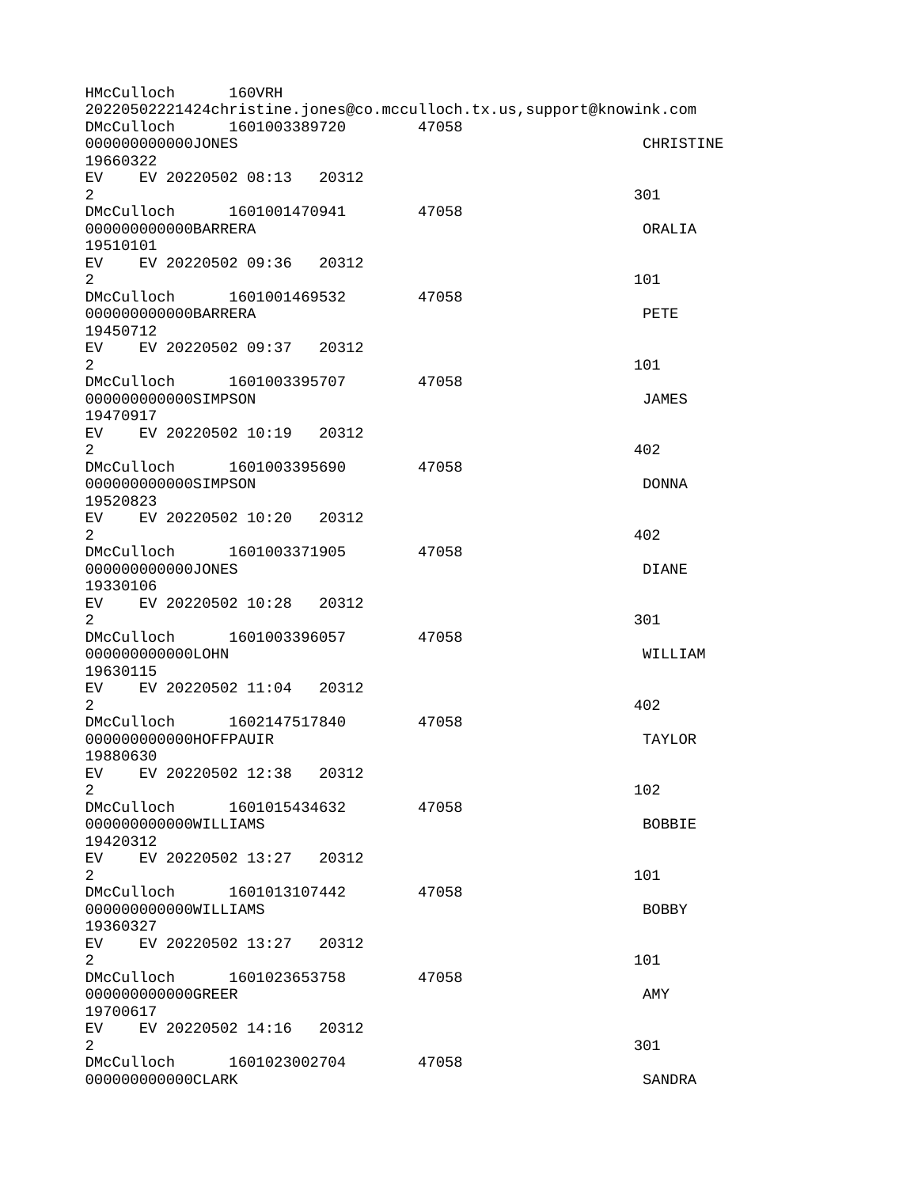HMcCulloch 160VRH 20220502221424christine.jones@co.mcculloch.tx.us,support@knowink.com DMcCulloch 1601003389720 47058 000000000000JONES CHRISTINE 19660322 EV EV 20220502 08:13 20312  $2\,$ DMcCulloch 1601001470941 47058 000000000000BARRERA ORALIA 19510101 EV EV 20220502 09:36 20312  $2 \t 101$ DMcCulloch 1601001469532 47058 000000000000BARRERA PETE 19450712 EV EV 20220502 09:37 20312  $2 \t 101$ DMcCulloch 1601003395707 47058 000000000000SIMPSON JAMES 19470917 EV EV 20220502 10:19 20312  $2^{402}$ DMcCulloch 1601003395690 47058 000000000000SIMPSON DONNA 19520823 EV EV 20220502 10:20 20312  $2^{402}$ DMcCulloch 1601003371905 47058 000000000000JONES DIANE 19330106 EV EV 20220502 10:28 20312  $2\,$ DMcCulloch 1601003396057 47058 000000000000LOHN WILLIAM 19630115 EV EV 20220502 11:04 20312  $2^{402}$ DMcCulloch 1602147517840 47058 000000000000HOFFPAUIR TAYLOR 19880630 EV EV 20220502 12:38 20312  $2 \t 102$ DMcCulloch 1601015434632 47058 000000000000WILLIAMS BOBBIE 19420312 EV EV 20220502 13:27 20312  $2 \t 101$ DMcCulloch 1601013107442 47058 000000000000WILLIAMS BOBBY 19360327 EV EV 20220502 13:27 20312  $2 \t 101$ DMcCulloch 1601023653758 47058 00000000000000GREER AMY 19700617 EV EV 20220502 14:16 20312  $2\,$ DMcCulloch 1601023002704 47058 000000000000CLARK SANDRA